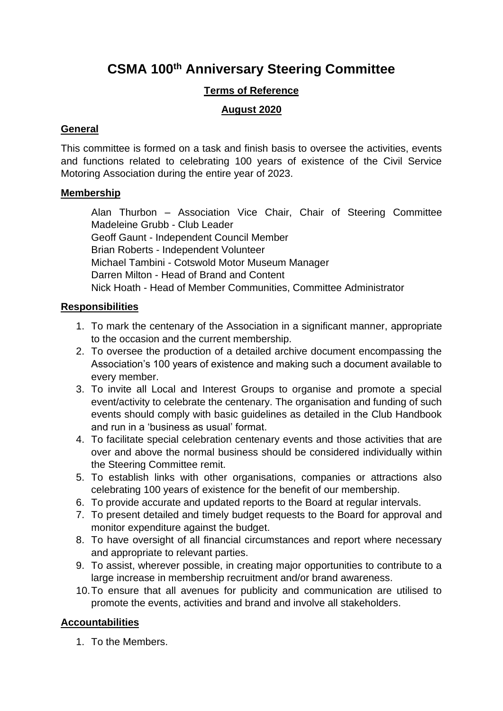# **CSMA 100th Anniversary Steering Committee**

## **Terms of Reference**

## **August 2020**

#### **General**

This committee is formed on a task and finish basis to oversee the activities, events and functions related to celebrating 100 years of existence of the Civil Service Motoring Association during the entire year of 2023.

#### **Membership**

Alan Thurbon – Association Vice Chair, Chair of Steering Committee Madeleine Grubb - Club Leader Geoff Gaunt - Independent Council Member Brian Roberts - Independent Volunteer Michael Tambini - Cotswold Motor Museum Manager Darren Milton - Head of Brand and Content Nick Hoath - Head of Member Communities, Committee Administrator

# **Responsibilities**

- 1. To mark the centenary of the Association in a significant manner, appropriate to the occasion and the current membership.
- 2. To oversee the production of a detailed archive document encompassing the Association's 100 years of existence and making such a document available to every member.
- 3. To invite all Local and Interest Groups to organise and promote a special event/activity to celebrate the centenary. The organisation and funding of such events should comply with basic guidelines as detailed in the Club Handbook and run in a 'business as usual' format.
- 4. To facilitate special celebration centenary events and those activities that are over and above the normal business should be considered individually within the Steering Committee remit.
- 5. To establish links with other organisations, companies or attractions also celebrating 100 years of existence for the benefit of our membership.
- 6. To provide accurate and updated reports to the Board at regular intervals.
- 7. To present detailed and timely budget requests to the Board for approval and monitor expenditure against the budget.
- 8. To have oversight of all financial circumstances and report where necessary and appropriate to relevant parties.
- 9. To assist, wherever possible, in creating major opportunities to contribute to a large increase in membership recruitment and/or brand awareness.
- 10.To ensure that all avenues for publicity and communication are utilised to promote the events, activities and brand and involve all stakeholders.

# **Accountabilities**

1. To the Members.